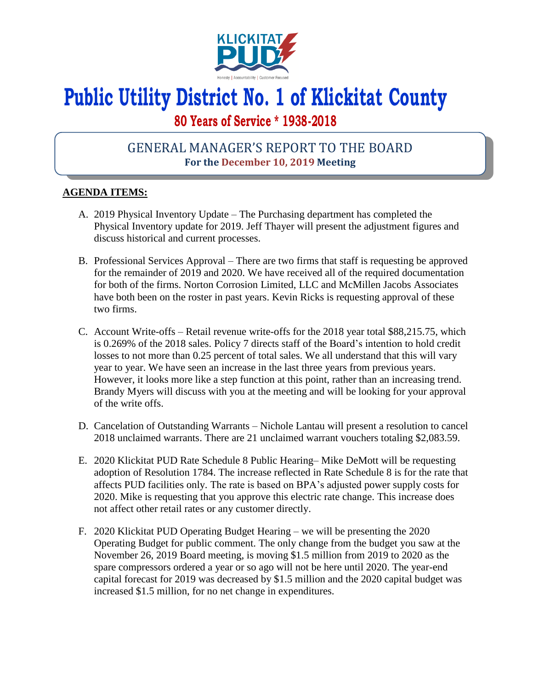

# **Public Utility District No. 1 of Klickitat County**

## **80 Years of Service \* 1938-2018**

## GENERAL MANAGER'S REPORT TO THE BOARD **For the December 10, 2019 Meeting**

### **AGENDA ITEMS:**

- A. 2019 Physical Inventory Update The Purchasing department has completed the Physical Inventory update for 2019. Jeff Thayer will present the adjustment figures and discuss historical and current processes.
- B. Professional Services Approval There are two firms that staff is requesting be approved for the remainder of 2019 and 2020. We have received all of the required documentation for both of the firms. Norton Corrosion Limited, LLC and McMillen Jacobs Associates have both been on the roster in past years. Kevin Ricks is requesting approval of these two firms.
- C. Account Write-offs Retail revenue write-offs for the 2018 year total \$88,215.75, which is 0.269% of the 2018 sales. Policy 7 directs staff of the Board's intention to hold credit losses to not more than 0.25 percent of total sales. We all understand that this will vary year to year. We have seen an increase in the last three years from previous years. However, it looks more like a step function at this point, rather than an increasing trend. Brandy Myers will discuss with you at the meeting and will be looking for your approval of the write offs.
- D. Cancelation of Outstanding Warrants Nichole Lantau will present a resolution to cancel 2018 unclaimed warrants. There are 21 unclaimed warrant vouchers totaling \$2,083.59.
- E. 2020 Klickitat PUD Rate Schedule 8 Public Hearing– Mike DeMott will be requesting adoption of Resolution 1784. The increase reflected in Rate Schedule 8 is for the rate that affects PUD facilities only. The rate is based on BPA's adjusted power supply costs for 2020. Mike is requesting that you approve this electric rate change. This increase does not affect other retail rates or any customer directly.
- F. 2020 Klickitat PUD Operating Budget Hearing we will be presenting the 2020 Operating Budget for public comment. The only change from the budget you saw at the November 26, 2019 Board meeting, is moving \$1.5 million from 2019 to 2020 as the spare compressors ordered a year or so ago will not be here until 2020. The year-end capital forecast for 2019 was decreased by \$1.5 million and the 2020 capital budget was increased \$1.5 million, for no net change in expenditures.